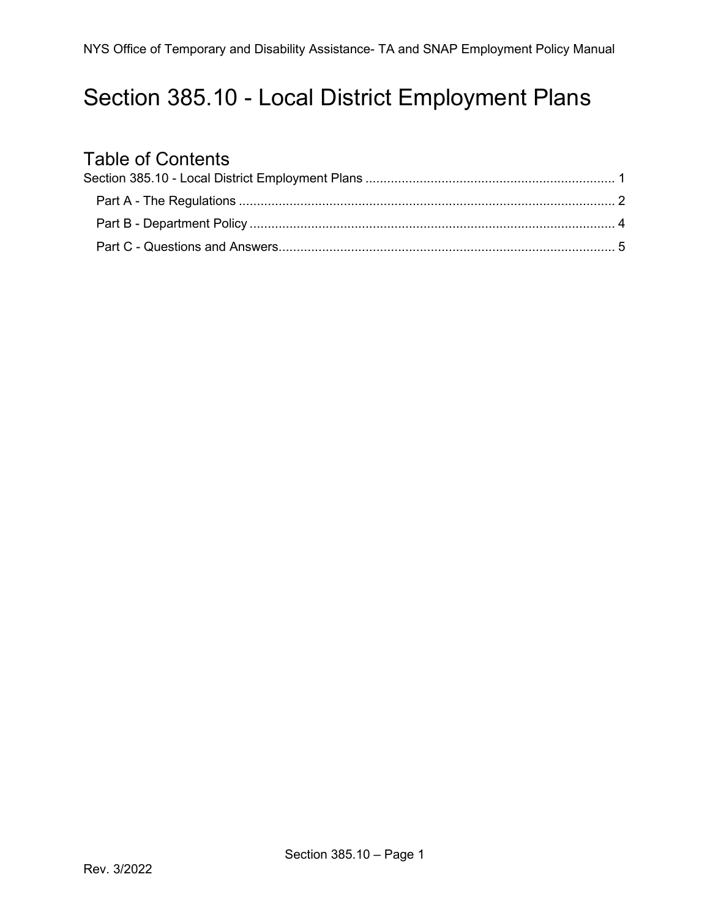## <span id="page-0-0"></span>Section 385.10 - Local District Employment Plans

# Table of Contents<br>Section 385.10 - Local Dis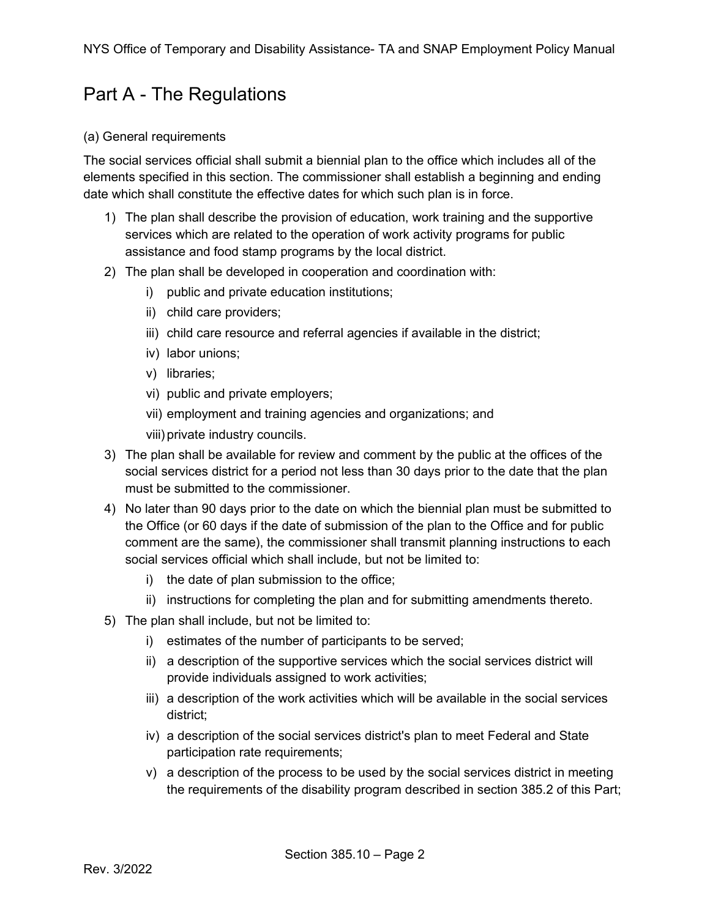## <span id="page-1-0"></span>Part A - The Regulations

#### (a) General requirements

The social services official shall submit a biennial plan to the office which includes all of the elements specified in this section. The commissioner shall establish a beginning and ending date which shall constitute the effective dates for which such plan is in force.

- 1) The plan shall describe the provision of education, work training and the supportive services which are related to the operation of work activity programs for public assistance and food stamp programs by the local district.
- 2) The plan shall be developed in cooperation and coordination with:
	- i) public and private education institutions;
	- ii) child care providers;
	- iii) child care resource and referral agencies if available in the district;
	- iv) labor unions;
	- v) libraries;
	- vi) public and private employers;
	- vii) employment and training agencies and organizations; and

viii) private industry councils.

- 3) The plan shall be available for review and comment by the public at the offices of the social services district for a period not less than 30 days prior to the date that the plan must be submitted to the commissioner.
- 4) No later than 90 days prior to the date on which the biennial plan must be submitted to the Office (or 60 days if the date of submission of the plan to the Office and for public comment are the same), the commissioner shall transmit planning instructions to each social services official which shall include, but not be limited to:
	- i) the date of plan submission to the office;
	- ii) instructions for completing the plan and for submitting amendments thereto.
- 5) The plan shall include, but not be limited to:
	- i) estimates of the number of participants to be served;
	- ii) a description of the supportive services which the social services district will provide individuals assigned to work activities;
	- iii) a description of the work activities which will be available in the social services district;
	- iv) a description of the social services district's plan to meet Federal and State participation rate requirements;
	- v) a description of the process to be used by the social services district in meeting the requirements of the disability program described in section 385.2 of this Part;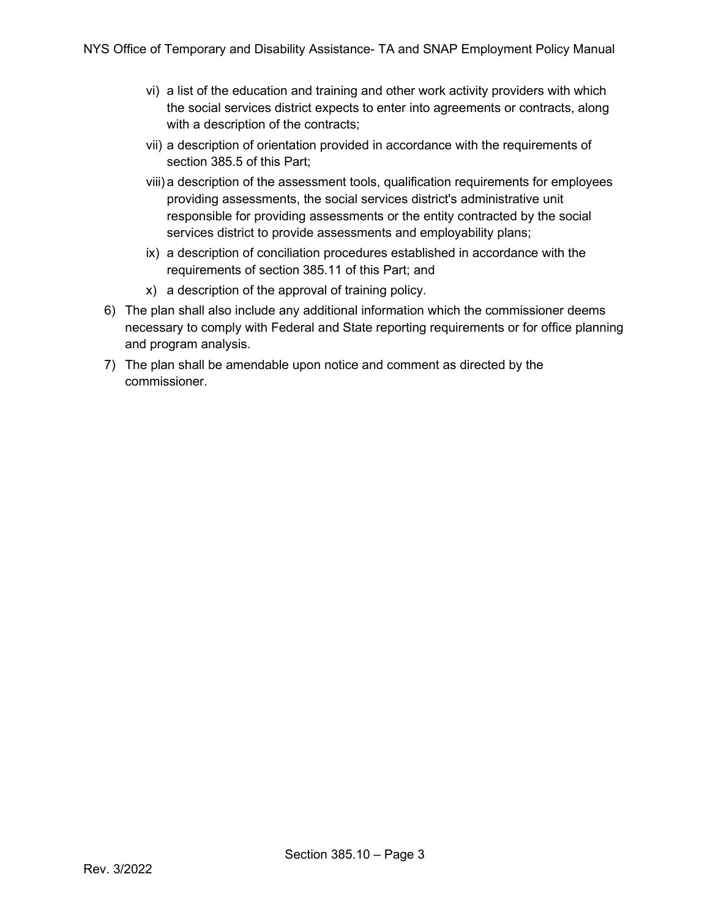- vi) a list of the education and training and other work activity providers with which the social services district expects to enter into agreements or contracts, along with a description of the contracts;
- vii) a description of orientation provided in accordance with the requirements of section 385.5 of this Part;
- viii) a description of the assessment tools, qualification requirements for employees providing assessments, the social services district's administrative unit responsible for providing assessments or the entity contracted by the social services district to provide assessments and employability plans;
- ix) a description of conciliation procedures established in accordance with the requirements of section 385.11 of this Part; and
- x) a description of the approval of training policy.
- 6) The plan shall also include any additional information which the commissioner deems necessary to comply with Federal and State reporting requirements or for office planning and program analysis.
- 7) The plan shall be amendable upon notice and comment as directed by the commissioner.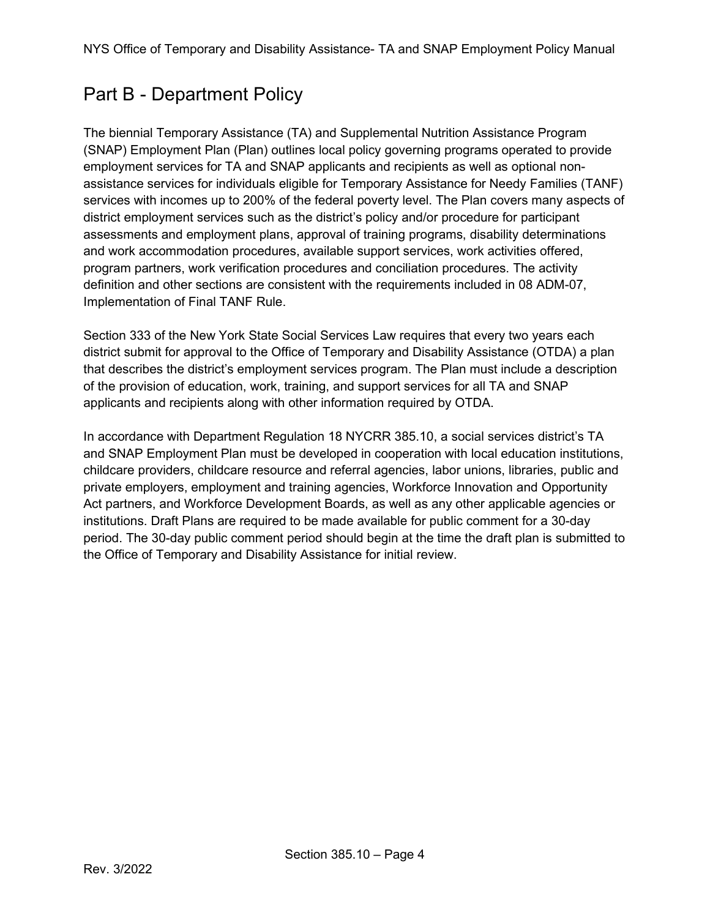## <span id="page-3-0"></span>Part B - Department Policy

The biennial Temporary Assistance (TA) and Supplemental Nutrition Assistance Program (SNAP) Employment Plan (Plan) outlines local policy governing programs operated to provide employment services for TA and SNAP applicants and recipients as well as optional nonassistance services for individuals eligible for Temporary Assistance for Needy Families (TANF) services with incomes up to 200% of the federal poverty level. The Plan covers many aspects of district employment services such as the district's policy and/or procedure for participant assessments and employment plans, approval of training programs, disability determinations and work accommodation procedures, available support services, work activities offered, program partners, work verification procedures and conciliation procedures. The activity definition and other sections are consistent with the requirements included in 08 ADM-07, Implementation of Final TANF Rule.

Section 333 of the New York State Social Services Law requires that every two years each district submit for approval to the Office of Temporary and Disability Assistance (OTDA) a plan that describes the district's employment services program. The Plan must include a description of the provision of education, work, training, and support services for all TA and SNAP applicants and recipients along with other information required by OTDA.

In accordance with Department Regulation 18 NYCRR 385.10, a social services district's TA and SNAP Employment Plan must be developed in cooperation with local education institutions, childcare providers, childcare resource and referral agencies, labor unions, libraries, public and private employers, employment and training agencies, Workforce Innovation and Opportunity Act partners, and Workforce Development Boards, as well as any other applicable agencies or institutions. Draft Plans are required to be made available for public comment for a 30-day period. The 30-day public comment period should begin at the time the draft plan is submitted to the Office of Temporary and Disability Assistance for initial review.